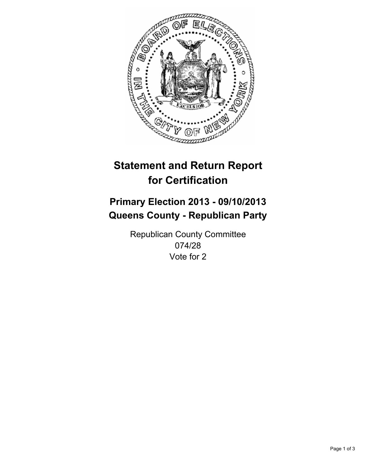

# **Statement and Return Report for Certification**

# **Primary Election 2013 - 09/10/2013 Queens County - Republican Party**

Republican County Committee 074/28 Vote for 2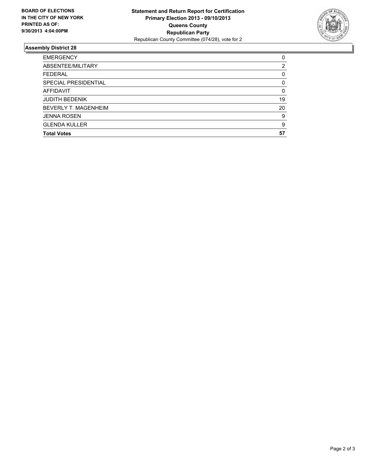

## **Assembly District 28**

| <b>EMERGENCY</b>      | 0        |
|-----------------------|----------|
| ABSENTEE/MILITARY     | 2        |
| <b>FEDERAL</b>        | 0        |
| SPECIAL PRESIDENTIAL  | 0        |
| AFFIDAVIT             | $\Omega$ |
| <b>JUDITH BEDENIK</b> | 19       |
| BEVERLY T. MAGENHEIM  | 20       |
| <b>JENNA ROSEN</b>    | 9        |
| <b>GLENDA KULLER</b>  | 9        |
| <b>Total Votes</b>    | 57       |